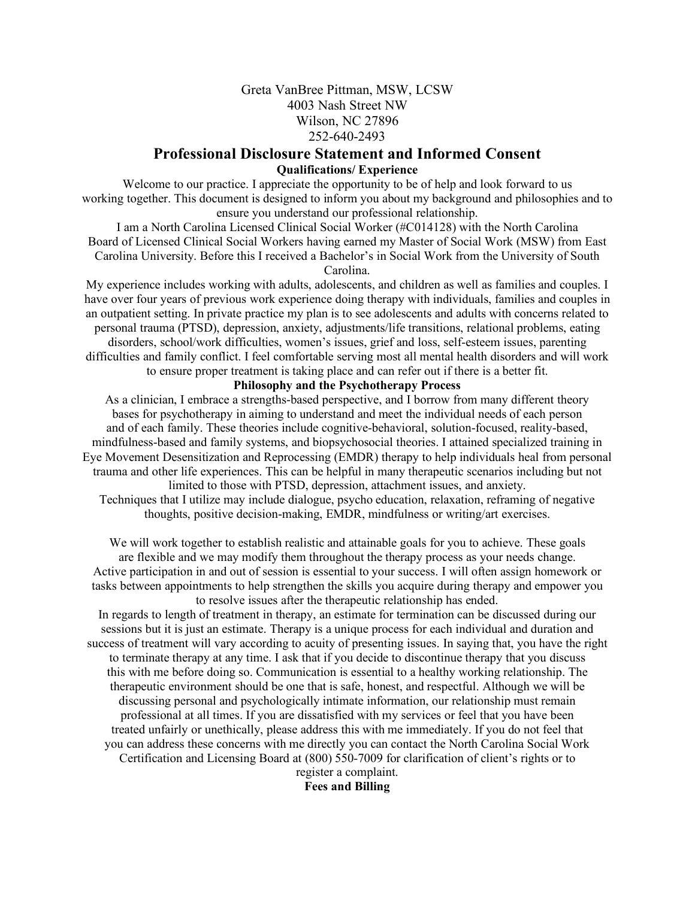### Greta VanBree Pittman, MSW, LCSW 4003 Nash Street NW Wilson, NC 27896 252-640-2493

# **Professional Disclosure Statement and Informed Consent Qualifications/ Experience**

Welcome to our practice. I appreciate the opportunity to be of help and look forward to us working together. This document is designed to inform you about my background and philosophies and to ensure you understand our professional relationship.

I am a North Carolina Licensed Clinical Social Worker (#C014128) with the North Carolina Board of Licensed Clinical Social Workers having earned my Master of Social Work (MSW) from East Carolina University. Before this I received a Bachelor's in Social Work from the University of South Carolina.

My experience includes working with adults, adolescents, and children as well as families and couples. I have over four years of previous work experience doing therapy with individuals, families and couples in an outpatient setting. In private practice my plan is to see adolescents and adults with concerns related to personal trauma (PTSD), depression, anxiety, adjustments/life transitions, relational problems, eating disorders, school/work difficulties, women's issues, grief and loss, self-esteem issues, parenting difficulties and family conflict. I feel comfortable serving most all mental health disorders and will work to ensure proper treatment is taking place and can refer out if there is a better fit.

#### **Philosophy and the Psychotherapy Process**

As a clinician, I embrace a strengths-based perspective, and I borrow from many different theory bases for psychotherapy in aiming to understand and meet the individual needs of each person and of each family. These theories include cognitive-behavioral, solution-focused, reality-based, mindfulness-based and family systems, and biopsychosocial theories. I attained specialized training in Eye Movement Desensitization and Reprocessing (EMDR) therapy to help individuals heal from personal trauma and other life experiences. This can be helpful in many therapeutic scenarios including but not limited to those with PTSD, depression, attachment issues, and anxiety.

Techniques that I utilize may include dialogue, psycho education, relaxation, reframing of negative thoughts, positive decision-making, EMDR, mindfulness or writing/art exercises.

We will work together to establish realistic and attainable goals for you to achieve. These goals are flexible and we may modify them throughout the therapy process as your needs change. Active participation in and out of session is essential to your success. I will often assign homework or tasks between appointments to help strengthen the skills you acquire during therapy and empower you to resolve issues after the therapeutic relationship has ended.

In regards to length of treatment in therapy, an estimate for termination can be discussed during our sessions but it is just an estimate. Therapy is a unique process for each individual and duration and success of treatment will vary according to acuity of presenting issues. In saying that, you have the right to terminate therapy at any time. I ask that if you decide to discontinue therapy that you discuss this with me before doing so. Communication is essential to a healthy working relationship. The therapeutic environment should be one that is safe, honest, and respectful. Although we will be discussing personal and psychologically intimate information, our relationship must remain professional at all times. If you are dissatisfied with my services or feel that you have been treated unfairly or unethically, please address this with me immediately. If you do not feel that you can address these concerns with me directly you can contact the North Carolina Social Work Certification and Licensing Board at (800) 550-7009 for clarification of client's rights or to

register a complaint. **Fees and Billing**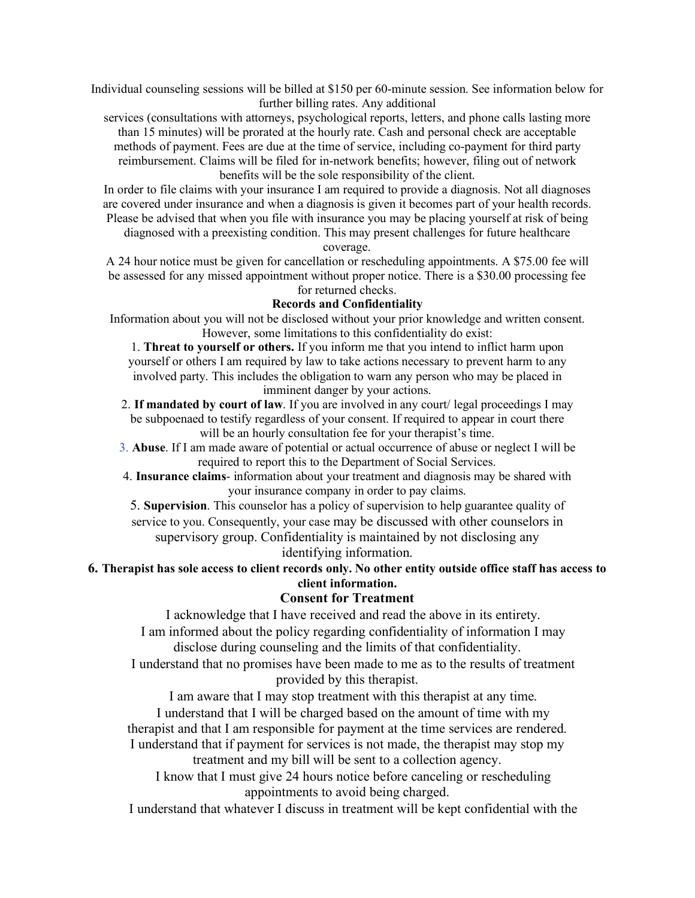Individual counseling sessions will be billed at \$150 per 60-minute session. See information below for further billing rates. Any additional

services (consultations with attorneys, psychological reports, letters, and phone calls lasting more than 15 minutes) will be prorated at the hourly rate. Cash and personal check are acceptable methods of payment. Fees are due at the time of service, including co-payment for third party reimbursement. Claims will be filed for in-network benefits; however, filing out of network benefits will be the sole responsibility of the client.

In order to file claims with your insurance I am required to provide a diagnosis. Not all diagnoses are covered under insurance and when a diagnosis is given it becomes part of your health records. Please be advised that when you file with insurance you may be placing yourself at risk of being

diagnosed with a preexisting condition. This may present challenges for future healthcare coverage.

A 24 hour notice must be given for cancellation or rescheduling appointments. A \$75.00 fee will be assessed for any missed appointment without proper notice. There is a \$30.00 processing fee for returned checks.

#### **Records and Confidentiality**

Information about you will not be disclosed without your prior knowledge and written consent. However, some limitations to this confidentiality do exist:

1. **Threat to yourself or others.** If you inform me that you intend to inflict harm upon yourself or others I am required by law to take actions necessary to prevent harm to any involved party. This includes the obligation to warn any person who may be placed in imminent danger by your actions.

2. **If mandated by court of law**. If you are involved in any court/ legal proceedings I may be subpoenaed to testify regardless of your consent. If required to appear in court there will be an hourly consultation fee for your therapist's time.

3. **Abuse**. If I am made aware of potential or actual occurrence of abuse or neglect I will be required to report this to the Department of Social Services.

4. **Insurance claims**- information about your treatment and diagnosis may be shared with your insurance company in order to pay claims.

5. **Supervision**. This counselor has a policy of supervision to help guarantee quality of service to you. Consequently, your case may be discussed with other counselors in supervisory group. Confidentiality is maintained by not disclosing any

identifying information.

# **6. Therapist has sole access to client records only. No other entity outside office staff has access to client information.**

### **Consent for Treatment**

I acknowledge that I have received and read the above in its entirety.

 I am informed about the policy regarding confidentiality of information I may disclose during counseling and the limits of that confidentiality.

 I understand that no promises have been made to me as to the results of treatment provided by this therapist.

I am aware that I may stop treatment with this therapist at any time.

 I understand that I will be charged based on the amount of time with my therapist and that I am responsible for payment at the time services are rendered. I understand that if payment for services is not made, the therapist may stop my treatment and my bill will be sent to a collection agency.

I know that I must give 24 hours notice before canceling or rescheduling

appointments to avoid being charged.

I understand that whatever I discuss in treatment will be kept confidential with the